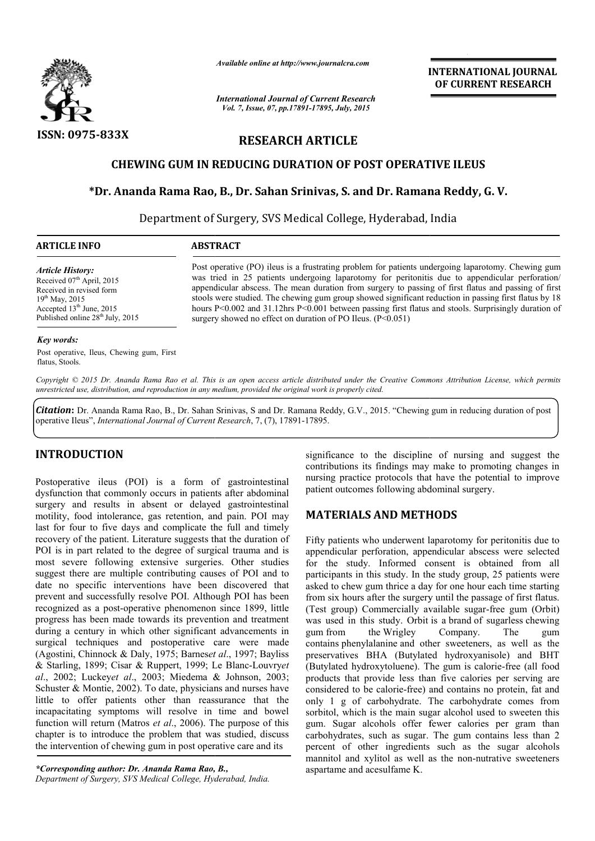

*Available online at http://www.journalcra.com*

*International Journal of Current Research Vol. 7, Issue, 07, pp.17891-17895, July, 2015*

**INTERNATIONAL INTERNATIONAL JOURNAL OF CURRENT RESEARCH** 

# **RESEARCH ARTICLE**

# **CHEWING GUM IN REDUCING DURATION OF POST OPERATIVE ILEUS**

## **\*Dr. Ananda Rama Rao, B., Dr. Sahan Srinivas, S. and Dr. Ramana Reddy, G. V.**

Department of Surgery, SVS Medical College, Hyderabad, India

| <b>ARTICLE INFO</b>                          | <b>ABSTRACT</b>                                                                                       |  |  |  |
|----------------------------------------------|-------------------------------------------------------------------------------------------------------|--|--|--|
| <b>Article History:</b>                      | Post operative (PO) ileus is a frustrating problem for patients undergoing laparotomy. Chewing gum    |  |  |  |
| Received $07th$ April, 2015                  | was tried in 25 patients undergoing laparotomy for peritonitis due to appendicular perforation/       |  |  |  |
| Received in revised form                     | appendicular abscess. The mean duration from surgery to passing of first flatus and passing of first  |  |  |  |
| $19^{th}$ May, 2015                          | stools were studied. The chewing gum group showed significant reduction in passing first flatus by 18 |  |  |  |
| Accepted $13th$ June, 2015                   | hours P<0.002 and 31.12hrs P<0.001 between passing first flatus and stools. Surprisingly duration of  |  |  |  |
| Published online 28 <sup>th</sup> July, 2015 | surgery showed no effect on duration of PO Ileus. $(P<0.051)$                                         |  |  |  |

#### *Key words:*

Post operative, Ileus, Chewing gum, First flatus, Stools.

*Copyright © 2015 Dr. Ananda Rama Rao et al. This is an open access article distributed under the Creative Commons Att Attribution License, which permits unrestricted use, distribution, and reproduction in any medium, provided the original work is properly cited.*

Citation: Dr. Ananda Rama Rao, B., Dr. Sahan Srinivas, S and Dr. Ramana Reddy, G.V., 2015. "Chewing gum in reducing duration of post operative Ileus", *International Journal of Current Research* , 7, (7), 17891-17895.

### **INTRODUCTION**

Postoperative ileus (POI) is a form of gastrointestinal dysfunction that commonly occurs in patients after abdominal surgery and results in absent or delayed gastrointestinal motility, food intolerance, gas retention, and pain. POI may last for four to five days and complicate the full and timely recovery of the patient. Literature suggests that the duration of POI is in part related to the degree of surgical trauma and is most severe following extensive surgeries. Other studies last for four to five days and complicate the full and timely<br>recovery of the patient. Literature suggests that the duration of<br>POI is in part related to the degree of surgical trauma and is<br>most severe following extensive date no specific interventions have been discovered that prevent and successfully resolve POI. Although POI has been recognized as a post-operative phenomenon since 1899, little progress has been made towards its prevention and treatment during a century in which other significant advancements in surgical techniques and postoperative care were made (Agostini, Chinnock & Daly, 1975; Barnes*et al* & Starling, 1899; Cisar & Ruppert, 1999; Le Blanc Blanc-Louvry*et al*., 2002; Luckey*et al*., 2003; Miedema & Johnson, 2003; Schuster & Montie, 2002). To date, physicians and nurses have little to offer patients other than reassurance that the incapacitating symptoms will resolve in time and bowel function will return (Matros *et al.*, 2006). The purpose of this chapter is to introduce the problem that was studied, discuss the intervention of chewing gum in post operative care and its gnized as a post-operative phenomenon since 1899, little gress has been made towards its prevention and treatment ng a century in which other significant advancements in gical techniques and postoperative care were made os 003; Miedema & Johnson, 2003;<br>To date, physicians and nurses have<br>other than reassurance that the<br>will resolve in time and bowel<br>s *et al.*, 2006). The purpose of this

*\*Corresponding author: Dr. Ananda Rama Rao, B., Department of Surgery, SVS Medical College, Hyderabad, India.* significance to the discipline of nursing and suggest the contributions its findings may make to promoting changes in nursing practice protocols that have the potential to improve patient outcomes following abdominal surgery. contributions its findings may make to promoting changes in<br>nursing practice protocols that have the potential to improve<br>patient outcomes following abdominal surgery.

## **MATERIALS AND METHODS METHODS**

Fifty patients who underwent laparotomy for peritonitis due to Fifty patients who underwent laparotomy for peritonitis due to appendicular perforation, appendicular abscess were selected for the study. Informed consent is obtained from all participants in this study. In the study group, 25 patients were asked to chew gum thrice a day for one hour each time starting from six hours after the surgery until the passage of first flatus. (Test group) Commercially available sugar-free gum (Orbit) was used in this study. Orbit is a brand of sugarless chewing  $g$ um from the Wrigley contains phenylalanine and other sweeteners, as well as the contains phenylalanine and other sweeteners, as well as the preservatives BHA (Butylated hydroxyanisole) and BHT (Butylated hydroxytoluene). The gum is calorie-free (all food products that provide less than five calories per serving are considered to be calorie-free) and contains no protein, fat and only 1 g of carbohydrate. The carbohydrate comes from sorbitol, which is the main sugar alcohol used to sweeten this gum. Sugar alcohols offer fewer calories per gram than carbohydrates, such as sugar. The gum contains less than 2 percent of other ingredients such as the sugar alcohols mannitol and xylitol as well as the non-nutrative sweeteners aspartame and acesulfame K. study. In the study group, 25 patients were<br>thrice a day for one hour each time starting<br>the surgery until the passage of first flatus. Company. The gum free) free) and contains no protein, fat and  $\cdot$  1 g of carbohydrate. The carbohydrate comes from itol, which is the main sugar alcohol used to sweeten this  $\ldots$  Sugar alcohols offer fewer calories per gram than ohydrat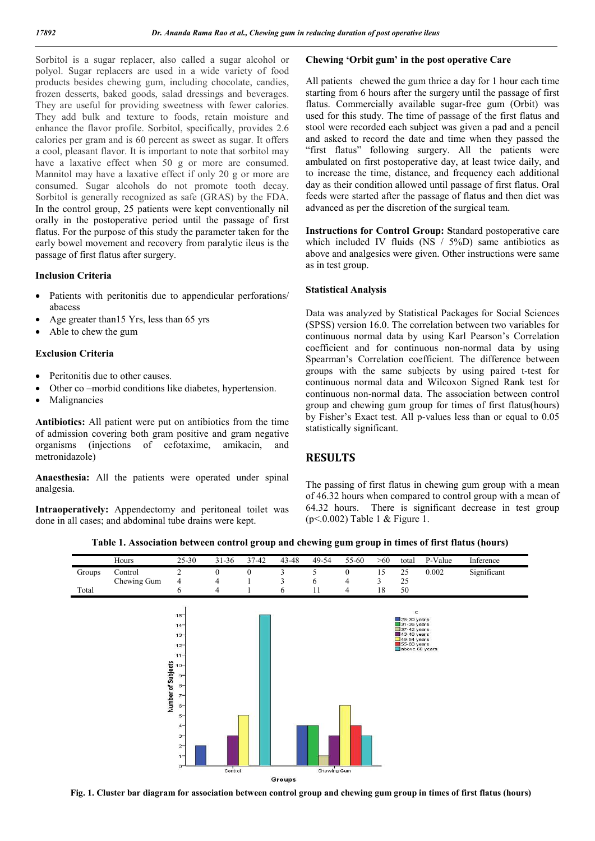Sorbitol is a sugar replacer, also called a sugar alcohol or polyol. Sugar replacers are used in a wide variety of food products besides chewing gum, including chocolate, candies, frozen desserts, baked goods, salad dressings and beverages. They are useful for providing sweetness with fewer calories. They add bulk and texture to foods, retain moisture and enhance the flavor profile. Sorbitol, specifically, provides 2.6 calories per gram and is 60 percent as sweet as sugar. It offers a cool, pleasant flavor. It is important to note that sorbitol may have a laxative effect when 50 g or more are consumed. Mannitol may have a laxative effect if only 20 g or more are consumed. Sugar alcohols do not promote tooth decay. Sorbitol is generally recognized as safe (GRAS) by the FDA. In the control group, 25 patients were kept conventionally nil orally in the postoperative period until the passage of first flatus. For the purpose of this study the parameter taken for the early bowel movement and recovery from paralytic ileus is the passage of first flatus after surgery.

#### **Inclusion Criteria**

- Patients with peritonitis due to appendicular perforations/ abacess
- Age greater than15 Yrs, less than 65 yrs
- Able to chew the gum

#### **Exclusion Criteria**

- Peritonitis due to other causes.
- Other co –morbid conditions like diabetes, hypertension.
- Malignancies

**Antibiotics:** All patient were put on antibiotics from the time of admission covering both gram positive and gram negative organisms (injections of cefotaxime, amikacin, and metronidazole)

**Anaesthesia:** All the patients were operated under spinal analgesia.

**Intraoperatively:** Appendectomy and peritoneal toilet was done in all cases; and abdominal tube drains were kept.

#### **Chewing 'Orbit gum' in the post operative Care**

All patients chewed the gum thrice a day for 1 hour each time starting from 6 hours after the surgery until the passage of first flatus. Commercially available sugar-free gum (Orbit) was used for this study. The time of passage of the first flatus and stool were recorded each subject was given a pad and a pencil and asked to record the date and time when they passed the "first flatus" following surgery. All the patients were ambulated on first postoperative day, at least twice daily, and to increase the time, distance, and frequency each additional day as their condition allowed until passage of first flatus. Oral feeds were started after the passage of flatus and then diet was advanced as per the discretion of the surgical team.

**Instructions for Control Group: S**tandard postoperative care which included IV fluids (NS  $/$  5%D) same antibiotics as above and analgesics were given. Other instructions were same as in test group.

#### **Statistical Analysis**

Data was analyzed by Statistical Packages for Social Sciences (SPSS) version 16.0. The correlation between two variables for continuous normal data by using Karl Pearson's Correlation coefficient and for continuous non-normal data by using Spearman's Correlation coefficient. The difference between groups with the same subjects by using paired t-test for continuous normal data and Wilcoxon Signed Rank test for continuous non-normal data. The association between control group and chewing gum group for times of first flatus(hours) by Fisher's Exact test. All p-values less than or equal to 0.05 statistically significant.

### **RESULTS**

The passing of first flatus in chewing gum group with a mean of 46.32 hours when compared to control group with a mean of 64.32 hours. There is significant decrease in test group (p<.0.002) Table 1 & Figure 1.

|  |  |  | Table 1. Association between control group and chewing gum group in times of first flatus (hours) |  |
|--|--|--|---------------------------------------------------------------------------------------------------|--|
|  |  |  |                                                                                                   |  |



**Fig. 1. Cluster bar diagram for association between control group and chewing gum group in times of first flatus (hours)**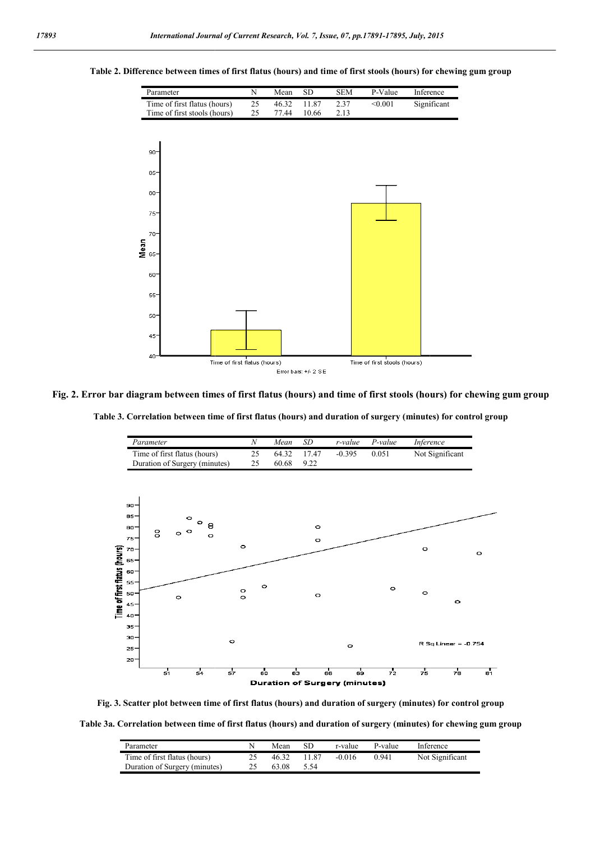

#### **Table 2. Difference between times of first flatus (hours) and time of first stools (hours) for chewing gum group between**

**Fig. 2. Error bar diagram between times of first flatus (hours) and time of first stools (hours) for chewing gum group**

**Table 3. Correlation between time of first flatus (hours) and duration of surgery (minutes) for control group**



**Fig. 3. Scatter plot between time of first flatus (hours) and duration of surgery (minutes) for control group**

**Table 3a. Correlation between time of first flatus (hours) and duration of surgery (minutes) for chewing gum group**

| Parameter                     | Mean  | SD     | r-value  | P-value | Inference       |
|-------------------------------|-------|--------|----------|---------|-----------------|
| Time of first flatus (hours)  | 46.32 | 1187   | $-0.016$ | 0.941   | Not Significant |
| Duration of Surgery (minutes) | 63.08 | - 5.54 |          |         |                 |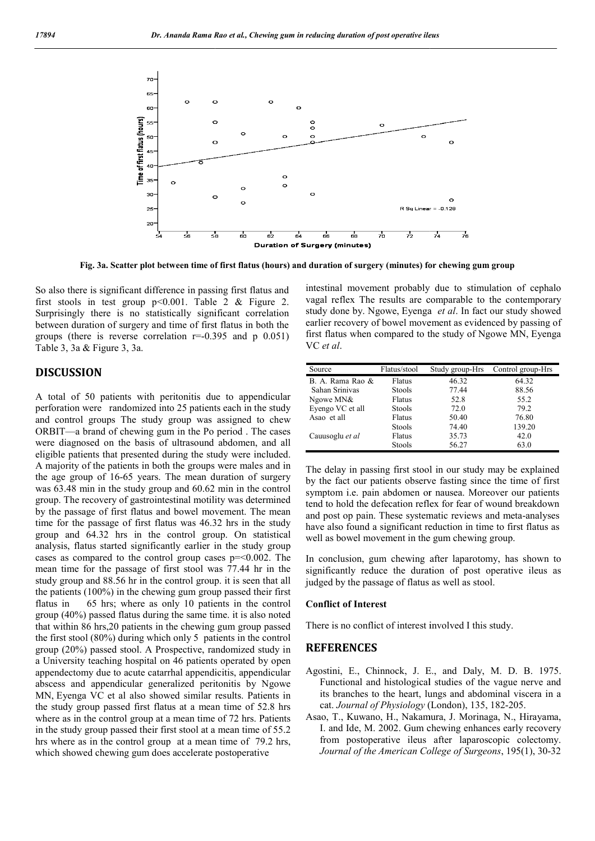

**Fig. 3a. Scatter plot between time of first flatus (hours) and duration of surgery (minutes) for chewing gum group**

So also there is significant difference in passing first flatus and first stools in test group  $p<0.001$ . Table 2 & Figure 2. Surprisingly there is no statistically significant correlation between duration of surgery and time of first flatus in both the groups (there is reverse correlation  $r=0.395$  and p  $0.051$ ) Table 3, 3a & Figure 3, 3a. between duration of surgery and time of first flatus in both the<br>groups (there is reverse correlation  $r=0.395$  and p 0.051)<br>Table 3, 3a & Figure 3, 3a.<br>**DISCUSSION**<br>A total of 50 patients with peritonitis due to appendic

#### **DISCUSSION**

perforation were randomized into 25 patients each in the study and control groups The study group was assigned to chew ORBIT—a brand of chewing gum in the Po period . The cases were diagnosed on the basis of ultrasound abdomen, and all eligible patients that presented during the study were included. A majority of the patients in both the groups were males and in the age group of 16-65 years. The mean duration of surgery was 63.48 min in the study group and 60.62 min in the control group. The recovery of gastrointestinal motility was determined by the passage of first flatus and bowel movement. The mean time for the passage of first flatus was 46.32 hrs in the study group and 64.32 hrs in the control group. On statistical analysis, flatus started significantly earlier in the study group cases as compared to the control group cases  $p = 0.002$ . The mean time for the passage of first stool was 77.44 hr in the study group and 88.56 hr in the control group. it is seen that all the patients (100%) in the chewing gum group passed their first flatus in 65 hrs; where as only 10 patients in the control group (40%) passed flatus during the same time. it is also noted that within 86 hrs,20 patients in the chewing gum group passed the first stool (80%) during which only 5 patients in the control group (20%) passed stool. A Prospective, randomized study in a University teaching hospital on 46 patients operated by open appendectomy due to acute catarrhal appendicitis, appendicular abscess and appendicular generalized peritonitis by Ngowe MN, Eyenga VC et al also showed similar results. Patients in the study group passed first flatus at a mean time of 52.8 hrs where as in the control group at a mean time of 72 hrs. Patients in the study group passed their first stool at a mean time of 55.2 hrs where as in the control group at a mean time of 79.2 hrs, which showed chewing gum does accelerate postoperative a brand of chewing gum in the Po period. The cases<br>mosed on the basis of ultrasound abdomen, and all<br>titents that presented during the study were included.<br>y of the patients in both the groups were males and in<br>roup of 16 intestinal movement probably due to stimulation of cephalo intestinal movement probably due to stimulation of cephalo vagal reflex The results are comparable to the contemporary study done by. Ngowe, Eyenga *et al*. In fact our study showed earlier recovery of bowel movement as evidenced by passing of earlier recovery of bowel movement as evidenced by passing of first flatus when compared to the study of Ngowe MN, Eyenga VC *et al*.

| Source           | Flatus/stool  | Study group-Hrs | Control group-Hrs |
|------------------|---------------|-----------------|-------------------|
| B. A. Rama Rao & | Flatus        | 46.32           | 64.32             |
| Sahan Srinivas   | <b>Stools</b> | 77.44           | 88.56             |
| Ngowe MN&        | Flatus        | 52.8            | 55.2              |
| Eyengo VC et all | <b>Stools</b> | 72.0            | 79.2              |
| Asao et all      | Flatus        | 50.40           | 76.80             |
|                  | <b>Stools</b> | 74.40           | 139.20            |
| Cauusoglu et al  | Flatus        | 35.73           | 42.0              |
|                  | <b>Stools</b> | 56.27           | 63.0              |

The delay in passing first stool in our study may be explained The delay in passing first stool in our study may be explained<br>by the fact our patients observe fasting since the time of first symptom i.e. pain abdomen or nausea. Moreover our patients<br>tend to hold the defecation reflex for fear of wound breakdown<br>and post op pain. These systematic reviews and meta-analyses tend to hold the defecation reflex for fear of wound breakdown and post op pain. These systematic reviews and meta have also found a significant reduction in time to first flatus as well as bowel movement in the gum chewing group.

In conclusion, gum chewing after laparotomy, has shown to significantly reduce the duration of post operative ileus as judged by the passage of flatus as well as stool. as bowel movement in the gum chewing group.<br>
Simulation, gum chewing after laparotomy, has shown to<br>
ficantly reduce the duration of post operative ileus as<br>
ed by the passage of flatus as well as stool.<br> **FIICT OF Interes** 

#### **Conflict of Interest**

There is no conflict of interest involved I this study.

#### **REFERENCES**

- Agostini, E., Chinnock, J. E., and Daly, M. D. B. 1975. Functional and histological studies of the vague nerve and its branches to the heart, lungs and abdominal viscera in a cat. Journal of Physiology (London), 135, 182-205.
- Asao, T., Kuwano, H., Nakamura, J. Morinaga, N., Hirayama, I. and Ide, M. 2002. Gum chewing enhances early recovery from postoperative ileus after laparoscopic colectomy. *Journal of the American College of Surgeons*, 195(1), 30-32 T., Kuwano, H., Nakamura, J. Morinaga, N., Hirayama, nd Ide, M. 2002. Gum chewing enhances early recovery m postoperative ileus after laparoscopic colectomy.